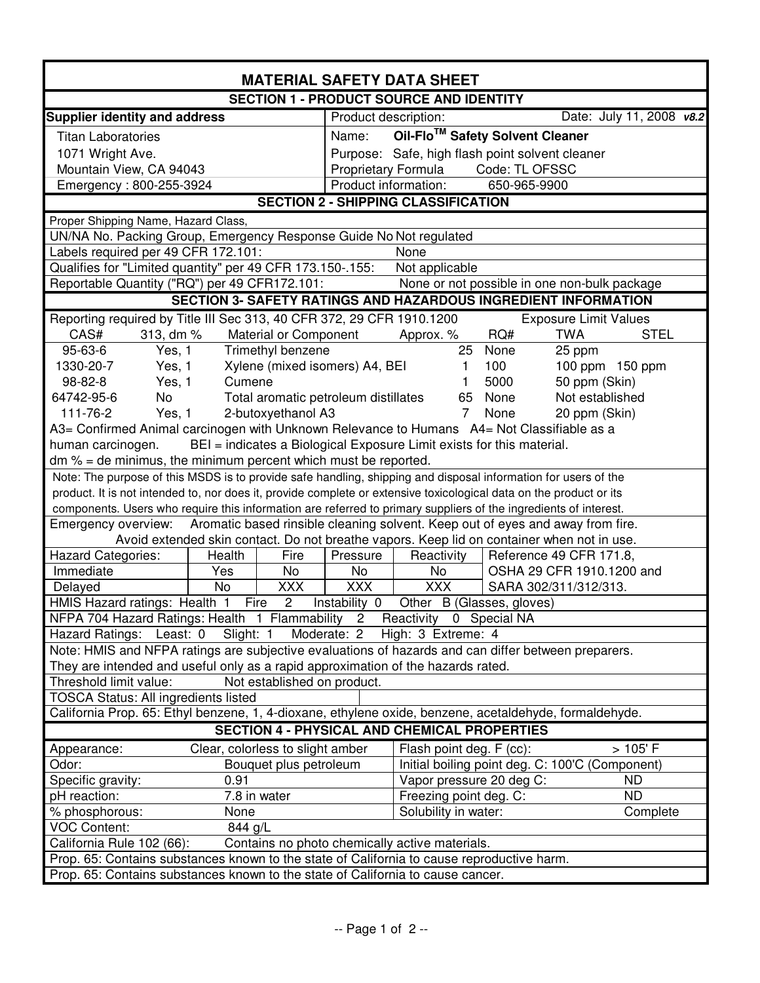| <b>MATERIAL SAFETY DATA SHEET</b>                                                                                                                                         |                                                                                                                     |  |  |  |  |  |
|---------------------------------------------------------------------------------------------------------------------------------------------------------------------------|---------------------------------------------------------------------------------------------------------------------|--|--|--|--|--|
| <b>SECTION 1 - PRODUCT SOURCE AND IDENTITY</b>                                                                                                                            |                                                                                                                     |  |  |  |  |  |
| <b>Supplier identity and address</b>                                                                                                                                      | Date: July 11, 2008 v8.2<br>Product description:                                                                    |  |  |  |  |  |
| <b>Titan Laboratories</b>                                                                                                                                                 | Oil-Flo™ Safety Solvent Cleaner<br>Name:                                                                            |  |  |  |  |  |
| 1071 Wright Ave.                                                                                                                                                          | Purpose: Safe, high flash point solvent cleaner                                                                     |  |  |  |  |  |
| Mountain View, CA 94043                                                                                                                                                   | Proprietary Formula Code: TL OFSSC                                                                                  |  |  |  |  |  |
| Emergency: 800-255-3924                                                                                                                                                   | Product information:<br>650-965-9900                                                                                |  |  |  |  |  |
| <b>SECTION 2 - SHIPPING CLASSIFICATION</b>                                                                                                                                |                                                                                                                     |  |  |  |  |  |
| Proper Shipping Name, Hazard Class,                                                                                                                                       |                                                                                                                     |  |  |  |  |  |
| UN/NA No. Packing Group, Emergency Response Guide No Not regulated                                                                                                        |                                                                                                                     |  |  |  |  |  |
| Labels required per 49 CFR 172.101:<br>None                                                                                                                               |                                                                                                                     |  |  |  |  |  |
| Qualifies for "Limited quantity" per 49 CFR 173.150-.155:                                                                                                                 | Not applicable                                                                                                      |  |  |  |  |  |
| Reportable Quantity ("RQ") per 49 CFR172.101:                                                                                                                             | None or not possible in one non-bulk package                                                                        |  |  |  |  |  |
| <b>SECTION 3- SAFETY RATINGS AND HAZARDOUS INGREDIENT INFORMATION</b>                                                                                                     |                                                                                                                     |  |  |  |  |  |
| Reporting required by Title III Sec 313, 40 CFR 372, 29 CFR 1910.1200                                                                                                     | <b>Exposure Limit Values</b>                                                                                        |  |  |  |  |  |
| CAS#<br>313, dm %<br>Material or Component                                                                                                                                | RQ#<br><b>TWA</b><br><b>STEL</b><br>Approx. %                                                                       |  |  |  |  |  |
| 95-63-6<br>Yes, 1<br>Trimethyl benzene                                                                                                                                    | 25<br>None<br>25 ppm                                                                                                |  |  |  |  |  |
| 1330-20-7<br>Yes, 1                                                                                                                                                       | Xylene (mixed isomers) A4, BEI<br>100<br>100 ppm 150 ppm<br>1                                                       |  |  |  |  |  |
| 98-82-8<br>Yes, 1<br>Cumene                                                                                                                                               | 5000<br>50 ppm (Skin)                                                                                               |  |  |  |  |  |
| 64742-95-6<br><b>No</b>                                                                                                                                                   | Total aromatic petroleum distillates<br>None<br>Not established<br>65                                               |  |  |  |  |  |
| 111-76-2<br>Yes, 1<br>2-butoxyethanol A3                                                                                                                                  | None<br>7<br>20 ppm (Skin)                                                                                          |  |  |  |  |  |
|                                                                                                                                                                           | A3= Confirmed Animal carcinogen with Unknown Relevance to Humans A4= Not Classifiable as a                          |  |  |  |  |  |
| human carcinogen.                                                                                                                                                         | BEI = indicates a Biological Exposure Limit exists for this material.                                               |  |  |  |  |  |
| $dm$ % = de minimus, the minimum percent which must be reported.                                                                                                          |                                                                                                                     |  |  |  |  |  |
|                                                                                                                                                                           | Note: The purpose of this MSDS is to provide safe handling, shipping and disposal information for users of the      |  |  |  |  |  |
|                                                                                                                                                                           | product. It is not intended to, nor does it, provide complete or extensive toxicological data on the product or its |  |  |  |  |  |
|                                                                                                                                                                           | components. Users who require this information are referred to primary suppliers of the ingredients of interest.    |  |  |  |  |  |
| Emergency overview:                                                                                                                                                       | Aromatic based rinsible cleaning solvent. Keep out of eyes and away from fire.                                      |  |  |  |  |  |
|                                                                                                                                                                           | Avoid extended skin contact. Do not breathe vapors. Keep lid on container when not in use.                          |  |  |  |  |  |
| <b>Hazard Categories:</b><br>Health<br>Fire                                                                                                                               | Reactivity<br>Reference 49 CFR 171.8,<br>Pressure                                                                   |  |  |  |  |  |
| Immediate<br>Yes<br>No                                                                                                                                                    | OSHA 29 CFR 1910.1200 and<br>No<br>No                                                                               |  |  |  |  |  |
| <b>XXX</b><br>Delayed<br>No                                                                                                                                               | <b>XXX</b><br><b>XXX</b><br>SARA 302/311/312/313.                                                                   |  |  |  |  |  |
| HMIS Hazard ratings: Health 1 Fire<br>$\overline{2}$                                                                                                                      | Instability 0<br>Other B (Glasses, gloves)                                                                          |  |  |  |  |  |
| NFPA 704 Hazard Ratings: Health 1 Flammability 2 Reactivity 0 Special NA                                                                                                  |                                                                                                                     |  |  |  |  |  |
| Hazard Ratings: Least: 0 Slight: 1<br>High: 3 Extreme: 4<br>Moderate: 2                                                                                                   |                                                                                                                     |  |  |  |  |  |
| Note: HMIS and NFPA ratings are subjective evaluations of hazards and can differ between preparers.                                                                       |                                                                                                                     |  |  |  |  |  |
| They are intended and useful only as a rapid approximation of the hazards rated.                                                                                          |                                                                                                                     |  |  |  |  |  |
| Not established on product.<br>Threshold limit value:                                                                                                                     |                                                                                                                     |  |  |  |  |  |
| <b>TOSCA Status: All ingredients listed</b>                                                                                                                               |                                                                                                                     |  |  |  |  |  |
| California Prop. 65: Ethyl benzene, 1, 4-dioxane, ethylene oxide, benzene, acetaldehyde, formaldehyde.<br><b>SECTION 4 - PHYSICAL AND CHEMICAL PROPERTIES</b>             |                                                                                                                     |  |  |  |  |  |
|                                                                                                                                                                           |                                                                                                                     |  |  |  |  |  |
| Clear, colorless to slight amber<br>Appearance:                                                                                                                           | >105' F<br>Flash point deg. F (cc):                                                                                 |  |  |  |  |  |
| Odor:<br>Bouquet plus petroleum                                                                                                                                           | Initial boiling point deg. C: 100'C (Component)                                                                     |  |  |  |  |  |
| Specific gravity:<br>0.91                                                                                                                                                 | Vapor pressure 20 deg C:<br>ND.                                                                                     |  |  |  |  |  |
| 7.8 in water<br>pH reaction:                                                                                                                                              | Freezing point deg. C:<br><b>ND</b>                                                                                 |  |  |  |  |  |
| None<br>% phosphorous:                                                                                                                                                    | Solubility in water:<br>Complete                                                                                    |  |  |  |  |  |
| <b>VOC Content:</b><br>844 g/L                                                                                                                                            |                                                                                                                     |  |  |  |  |  |
| California Rule 102 (66):<br>Contains no photo chemically active materials.<br>Prop. 65: Contains substances known to the state of California to cause reproductive harm. |                                                                                                                     |  |  |  |  |  |
|                                                                                                                                                                           |                                                                                                                     |  |  |  |  |  |
| Prop. 65: Contains substances known to the state of California to cause cancer.                                                                                           |                                                                                                                     |  |  |  |  |  |